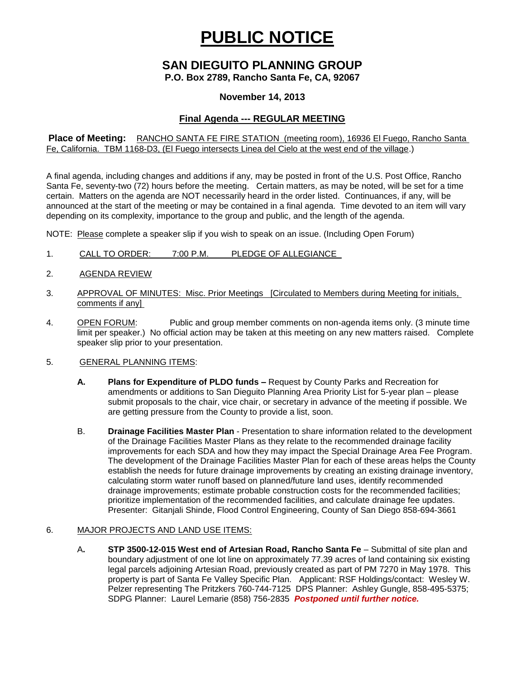# **PUBLIC NOTICE**

# **SAN DIEGUITO PLANNING GROUP**

**P.O. Box 2789, Rancho Santa Fe, CA, 92067**

### **November 14, 2013**

# **Final Agenda --- REGULAR MEETING**

**Place of Meeting:** RANCHO SANTA FE FIRE STATION (meeting room), 16936 El Fuego, Rancho Santa Fe, California. TBM 1168-D3, (El Fuego intersects Linea del Cielo at the west end of the village.)

A final agenda, including changes and additions if any, may be posted in front of the U.S. Post Office, Rancho Santa Fe, seventy-two (72) hours before the meeting. Certain matters, as may be noted, will be set for a time certain. Matters on the agenda are NOT necessarily heard in the order listed. Continuances, if any, will be announced at the start of the meeting or may be contained in a final agenda. Time devoted to an item will vary depending on its complexity, importance to the group and public, and the length of the agenda.

NOTE: Please complete a speaker slip if you wish to speak on an issue. (Including Open Forum)

- 1. CALL TO ORDER: 7:00 P.M. PLEDGE OF ALLEGIANCE
- 2. AGENDA REVIEW
- 3. APPROVAL OF MINUTES: Misc. Prior Meetings [Circulated to Members during Meeting for initials, comments if any]
- 4. OPEN FORUM: Public and group member comments on non-agenda items only. (3 minute time limit per speaker.) No official action may be taken at this meeting on any new matters raised. Complete speaker slip prior to your presentation.

#### 5. GENERAL PLANNING ITEMS:

- **A. Plans for Expenditure of PLDO funds –** Request by County Parks and Recreation for amendments or additions to San Dieguito Planning Area Priority List for 5-year plan – please submit proposals to the chair, vice chair, or secretary in advance of the meeting if possible. We are getting pressure from the County to provide a list, soon.
- B. **Drainage Facilities Master Plan** Presentation to share information related to the development of the Drainage Facilities Master Plans as they relate to the recommended drainage facility improvements for each SDA and how they may impact the Special Drainage Area Fee Program. The development of the Drainage Facilities Master Plan for each of these areas helps the County establish the needs for future drainage improvements by creating an existing drainage inventory, calculating storm water runoff based on planned/future land uses, identify recommended drainage improvements; estimate probable construction costs for the recommended facilities; prioritize implementation of the recommended facilities, and calculate drainage fee updates. Presenter: Gitanjali Shinde, Flood Control Engineering, County of San Diego 858-694-3661

#### 6. MAJOR PROJECTS AND LAND USE ITEMS:

A**. STP 3500-12-015 West end of Artesian Road, Rancho Santa Fe** – Submittal of site plan and boundary adjustment of one lot line on approximately 77.39 acres of land containing six existing legal parcels adjoining Artesian Road, previously created as part of PM 7270 in May 1978. This property is part of Santa Fe Valley Specific Plan.Applicant: RSF Holdings/contact: Wesley W. Pelzer representing The Pritzkers 760-744-7125 DPS Planner: Ashley Gungle, 858-495-5375; SDPG Planner: Laurel Lemarie (858) 756-2835 *Postponed until further notice.*